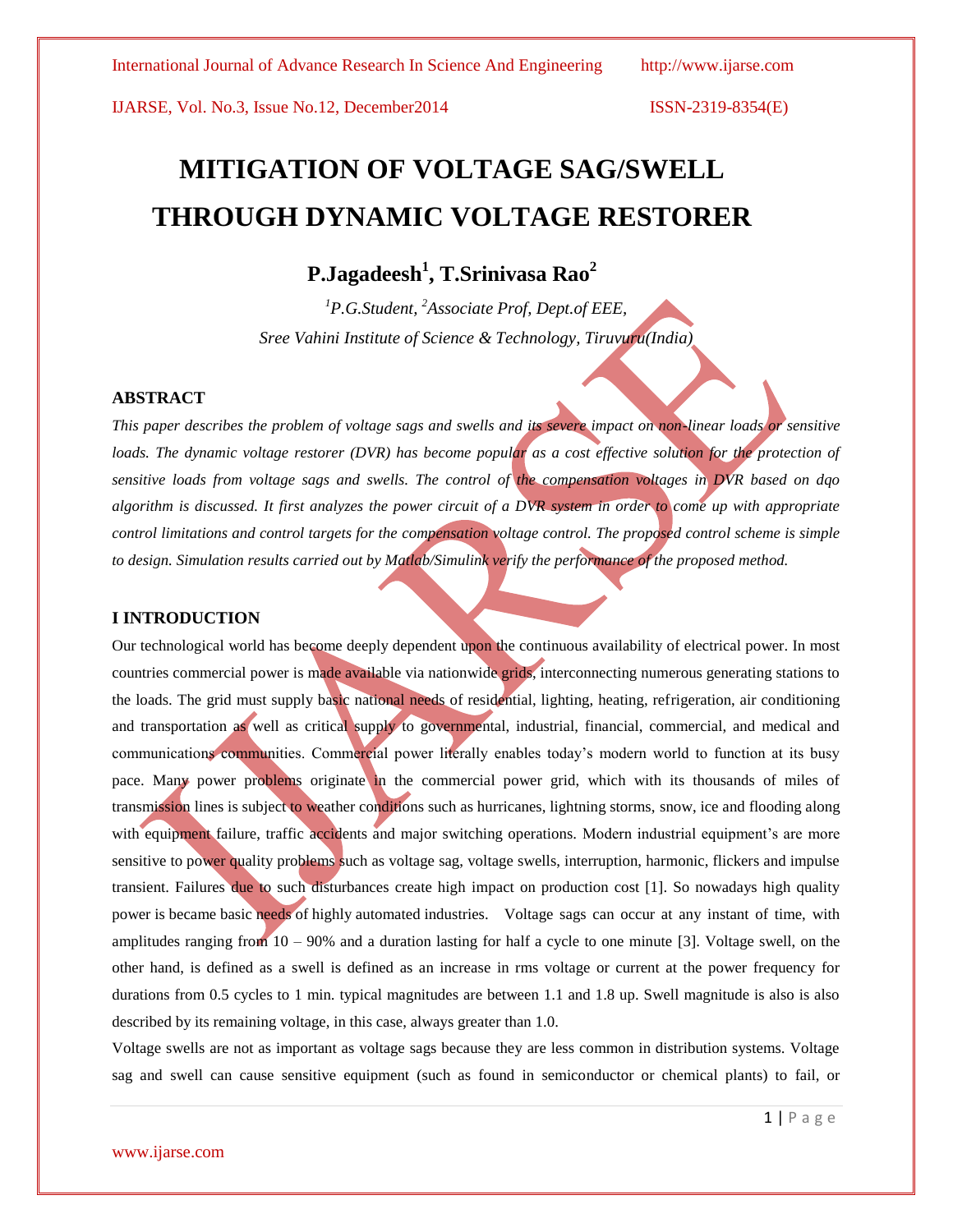IJARSE, Vol. No.3, Issue No.12, December2014 ISSN-2319-8354(E)

# **MITIGATION OF VOLTAGE SAG/SWELL THROUGH DYNAMIC VOLTAGE RESTORER**

# **P.Jagadeesh<sup>1</sup> , T.Srinivasa Rao<sup>2</sup>**

*<sup>1</sup>P.G.Student, <sup>2</sup>Associate Prof, Dept.of EEE, Sree Vahini Institute of Science & Technology, Tiruvuru(India)*

### **ABSTRACT**

*This paper describes the problem of voltage sags and swells and its severe impact on non-linear loads or sensitive loads. The dynamic voltage restorer (DVR) has become popular as a cost effective solution for the protection of sensitive loads from voltage sags and swells. The control of the compensation voltages in DVR based on dqo algorithm is discussed. It first analyzes the power circuit of a DVR system in order to come up with appropriate control limitations and control targets for the compensation voltage control. The proposed control scheme is simple to design. Simulation results carried out by Matlab/Simulink verify the performance of the proposed method.*

## **I INTRODUCTION**

Our technological world has become deeply dependent upon the continuous availability of electrical power. In most countries commercial power is made available via nationwide grids, interconnecting numerous generating stations to the loads. The grid must supply basic national needs of residential, lighting, heating, refrigeration, air conditioning and transportation as well as critical supply to governmental, industrial, financial, commercial, and medical and communications communities. Commercial power literally enables today's modern world to function at its busy pace. Many power problems originate in the commercial power grid, which with its thousands of miles of transmission lines is subject to weather conditions such as hurricanes, lightning storms, snow, ice and flooding along with equipment failure, traffic accidents and major switching operations. Modern industrial equipment's are more sensitive to power quality problems such as voltage sag, voltage swells, interruption, harmonic, flickers and impulse transient. Failures due to such disturbances create high impact on production cost [1]. So nowadays high quality power is became basic needs of highly automated industries. Voltage sags can occur at any instant of time, with amplitudes ranging from  $10 - 90\%$  and a duration lasting for half a cycle to one minute [3]. Voltage swell, on the other hand, is defined as a swell is defined as an increase in rms voltage or current at the power frequency for durations from 0.5 cycles to 1 min. typical magnitudes are between 1.1 and 1.8 up. Swell magnitude is also is also described by its remaining voltage, in this case, always greater than 1.0.

Voltage swells are not as important as voltage sags because they are less common in distribution systems. Voltage sag and swell can cause sensitive equipment (such as found in semiconductor or chemical plants) to fail, or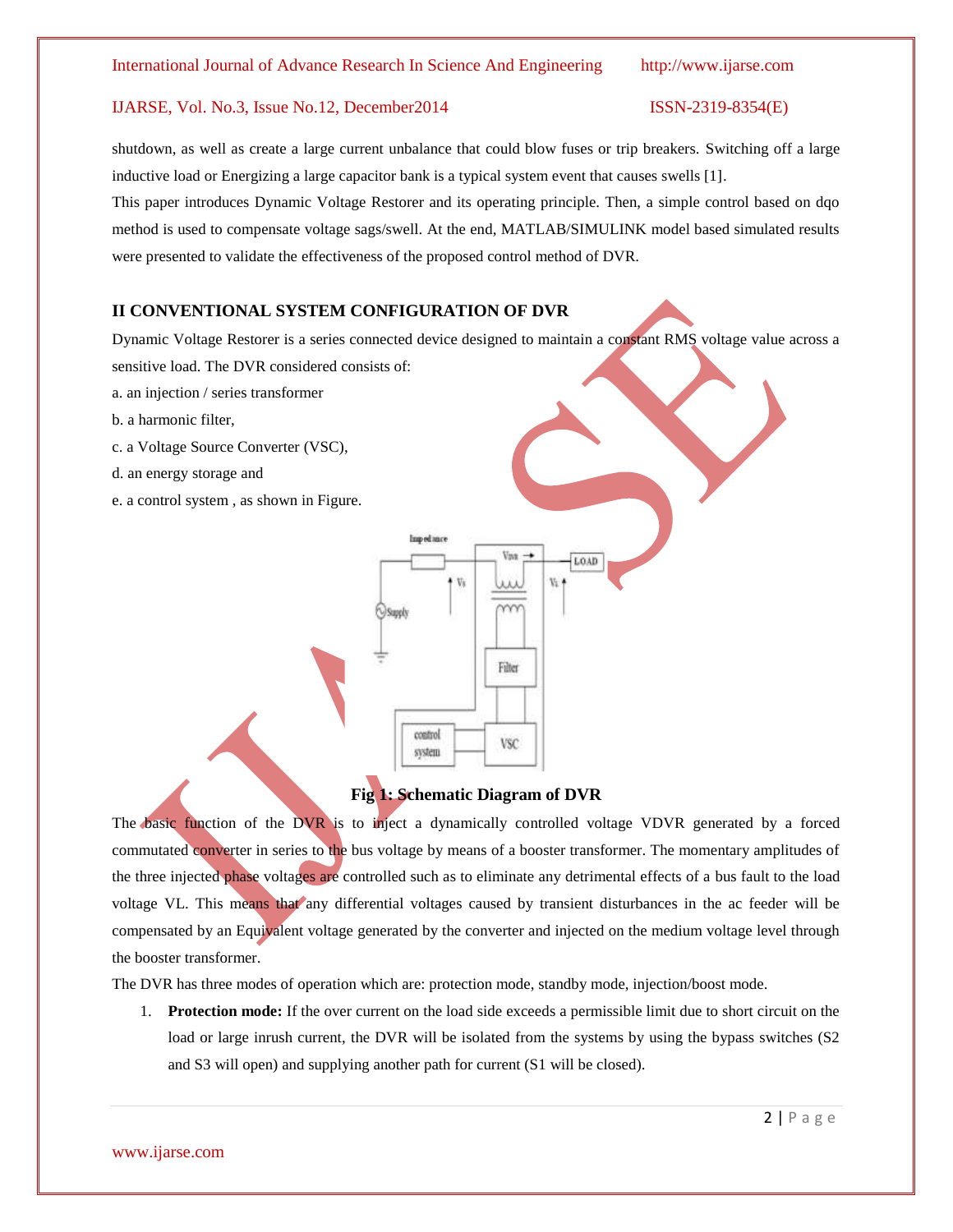### International Journal of Advance Research In Science And Engineering http://www.ijarse.com

### IJARSE, Vol. No.3, Issue No.12, December2014 ISSN-2319-8354(E)

# shutdown, as well as create a large current unbalance that could blow fuses or trip breakers. Switching off a large inductive load or Energizing a large capacitor bank is a typical system event that causes swells [1].

This paper introduces Dynamic Voltage Restorer and its operating principle. Then, a simple control based on dqo method is used to compensate voltage sags/swell. At the end, MATLAB/SIMULINK model based simulated results were presented to validate the effectiveness of the proposed control method of DVR.

# **II CONVENTIONAL SYSTEM CONFIGURATION OF DVR**

Dynamic Voltage Restorer is a series connected device designed to maintain a constant RMS voltage value across a sensitive load. The DVR considered consists of:

- a. an injection / series transformer
- b. a harmonic filter,
- c. a Voltage Source Converter (VSC),
- d. an energy storage and
- e. a control system , as shown in Figure.



# **Fig 1: Schematic Diagram of DVR**

The basic function of the DVR is to inject a dynamically controlled voltage VDVR generated by a forced commutated converter in series to the bus voltage by means of a booster transformer. The momentary amplitudes of the three injected phase voltages are controlled such as to eliminate any detrimental effects of a bus fault to the load voltage VL. This means that any differential voltages caused by transient disturbances in the ac feeder will be compensated by an Equivalent voltage generated by the converter and injected on the medium voltage level through the booster transformer.

The DVR has three modes of operation which are: protection mode, standby mode, injection/boost mode.

1. **Protection mode:** If the over current on the load side exceeds a permissible limit due to short circuit on the load or large inrush current, the DVR will be isolated from the systems by using the bypass switches (S2 and S3 will open) and supplying another path for current (S1 will be closed).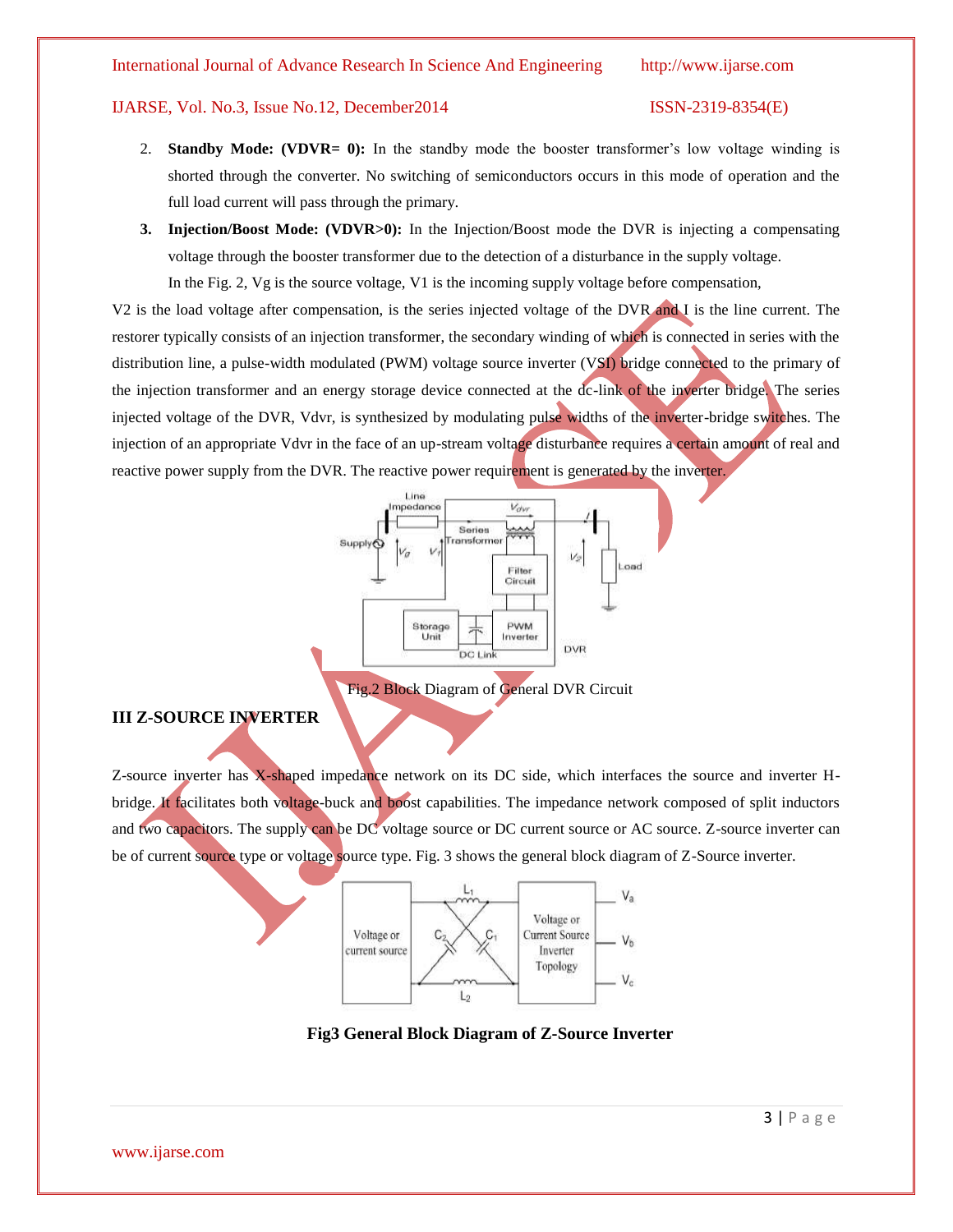### International Journal of Advance Research In Science And Engineering http://www.ijarse.com

### IJARSE, Vol. No.3, Issue No.12, December2014 ISSN-2319-8354(E)

- 2. **Standby Mode: (VDVR= 0):** In the standby mode the booster transformer's low voltage winding is shorted through the converter. No switching of semiconductors occurs in this mode of operation and the full load current will pass through the primary.
- **3. Injection/Boost Mode: (VDVR>0):** In the Injection/Boost mode the DVR is injecting a compensating voltage through the booster transformer due to the detection of a disturbance in the supply voltage.

In the Fig. 2, Vg is the source voltage, V1 is the incoming supply voltage before compensation,

V2 is the load voltage after compensation, is the series injected voltage of the DVR and I is the line current. The restorer typically consists of an injection transformer, the secondary winding of which is connected in series with the distribution line, a pulse-width modulated (PWM) voltage source inverter (VSI) bridge connected to the primary of the injection transformer and an energy storage device connected at the dc-link of the inverter bridge. The series injected voltage of the DVR, Vdvr, is synthesized by modulating pulse widths of the inverter-bridge switches. The injection of an appropriate Vdvr in the face of an up-stream voltage disturbance requires a certain amount of real and reactive power supply from the DVR. The reactive power requirement is generated by the inverter.



# **III Z-SOURCE INVERTER**

Z-source inverter has X-shaped impedance network on its DC side, which interfaces the source and inverter Hbridge. It facilitates both voltage-buck and boost capabilities. The impedance network composed of split inductors and two capacitors. The supply can be DC voltage source or DC current source or AC source. Z-source inverter can be of current source type or voltage source type. Fig. 3 shows the general block diagram of Z-Source inverter.



**Fig3 General Block Diagram of Z-Source Inverter**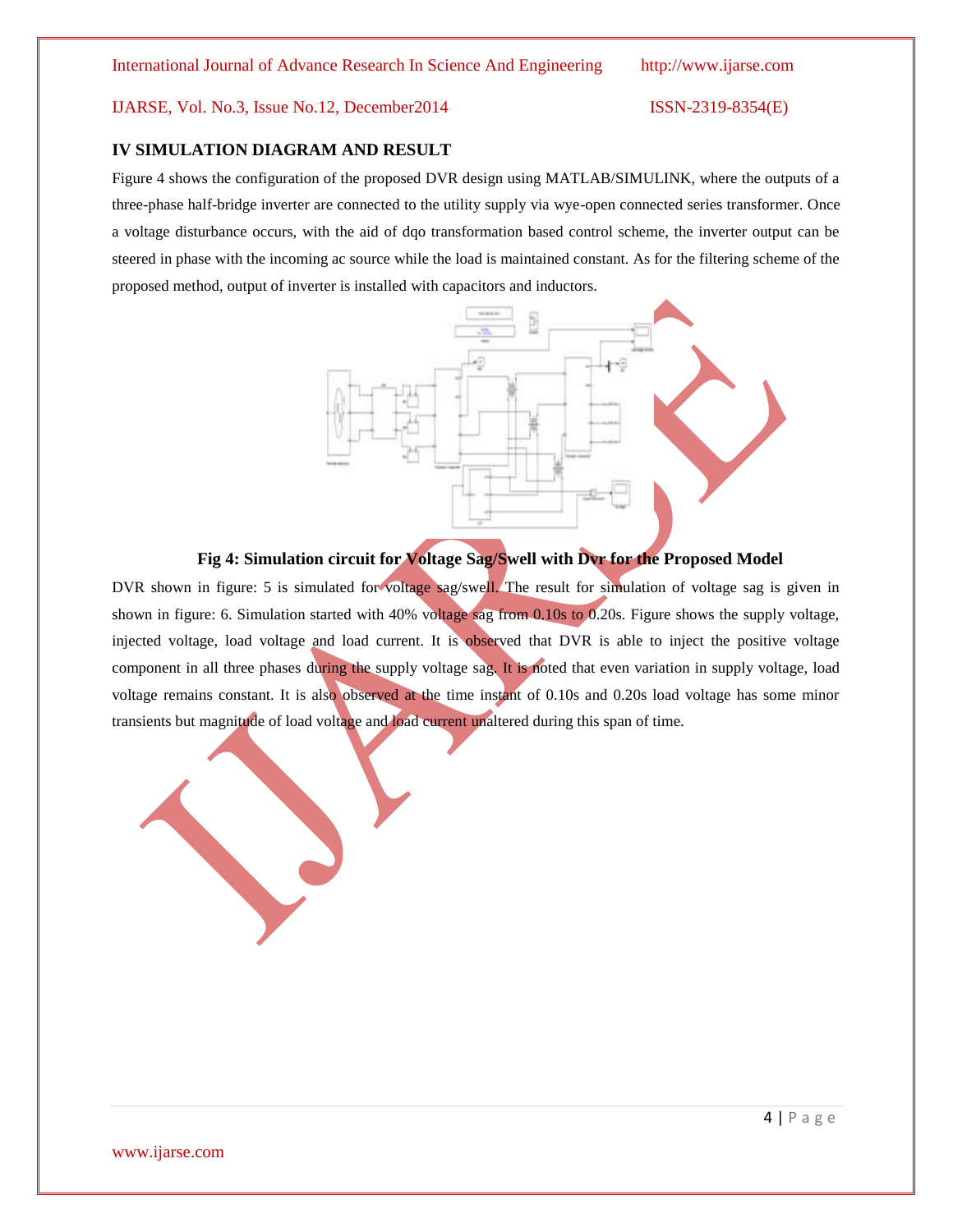### IJARSE, Vol. No.3, Issue No.12, December2014 ISSN-2319-8354(E)

# **IV SIMULATION DIAGRAM AND RESULT**

Figure 4 shows the configuration of the proposed DVR design using MATLAB/SIMULINK, where the outputs of a three-phase half-bridge inverter are connected to the utility supply via wye-open connected series transformer. Once a voltage disturbance occurs, with the aid of dqo transformation based control scheme, the inverter output can be steered in phase with the incoming ac source while the load is maintained constant. As for the filtering scheme of the proposed method, output of inverter is installed with capacitors and inductors.



# **Fig 4: Simulation circuit for Voltage Sag/Swell with Dvr for the Proposed Model**

DVR shown in figure: 5 is simulated for voltage sag/swell. The result for simulation of voltage sag is given in shown in figure: 6. Simulation started with 40% voltage sag from 0.10s to 0.20s. Figure shows the supply voltage, injected voltage, load voltage and load current. It is observed that DVR is able to inject the positive voltage component in all three phases during the supply voltage sag. It is noted that even variation in supply voltage, load voltage remains constant. It is also observed at the time instant of 0.10s and 0.20s load voltage has some minor transients but magnitude of load voltage and load current unaltered during this span of time.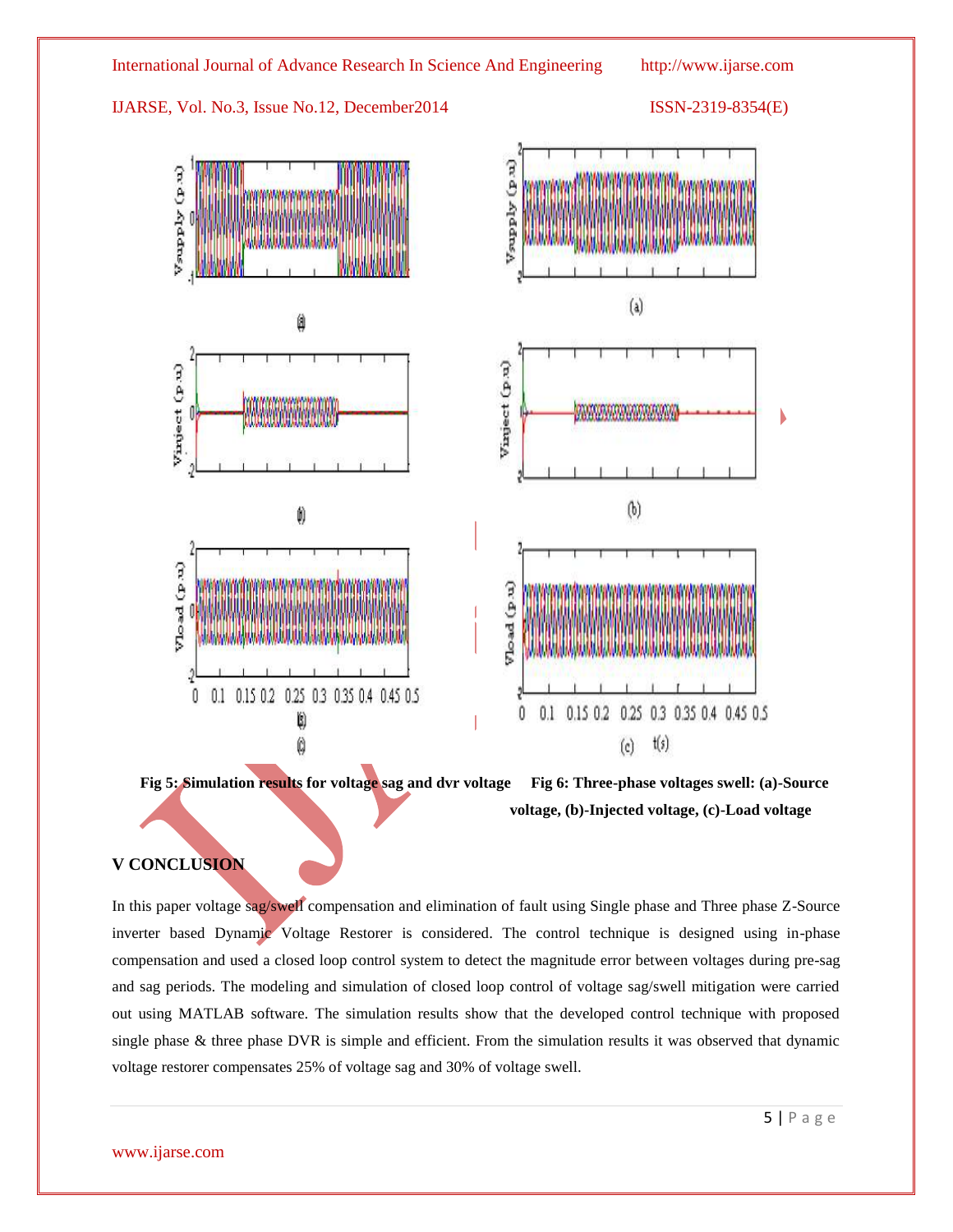



**Fig 5: Simulation results for voltage sag and dvr voltage Fig 6: Three-phase voltages swell: (a)-Source voltage, (b)-Injected voltage, (c)-Load voltage**

# **V CONCLUSION**

In this paper voltage sag/swell compensation and elimination of fault using Single phase and Three phase Z-Source inverter based Dynamic Voltage Restorer is considered. The control technique is designed using in-phase compensation and used a closed loop control system to detect the magnitude error between voltages during pre-sag and sag periods. The modeling and simulation of closed loop control of voltage sag/swell mitigation were carried out using MATLAB software. The simulation results show that the developed control technique with proposed single phase & three phase DVR is simple and efficient. From the simulation results it was observed that dynamic voltage restorer compensates 25% of voltage sag and 30% of voltage swell.